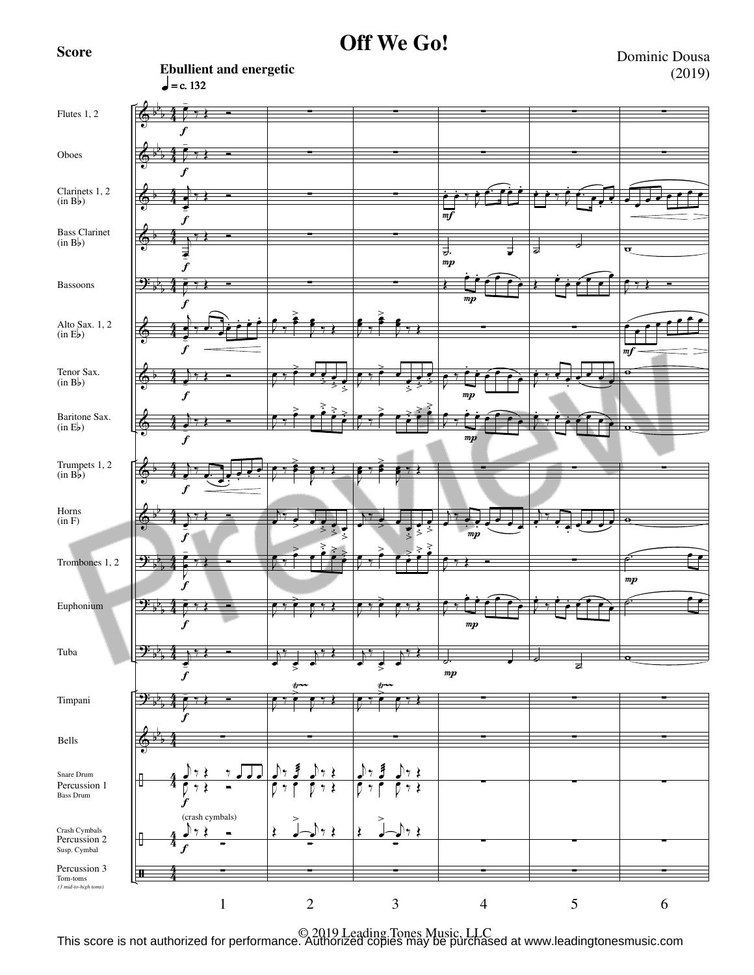**Score**

**Ebullient and energetic**

**Off We Go!**

Dominic Dousa (2019)



© 2019 Leading Tones Music, LLC This score is not authorized for performance. Authorized copies may be purchased at www.leadingtonesmusic.com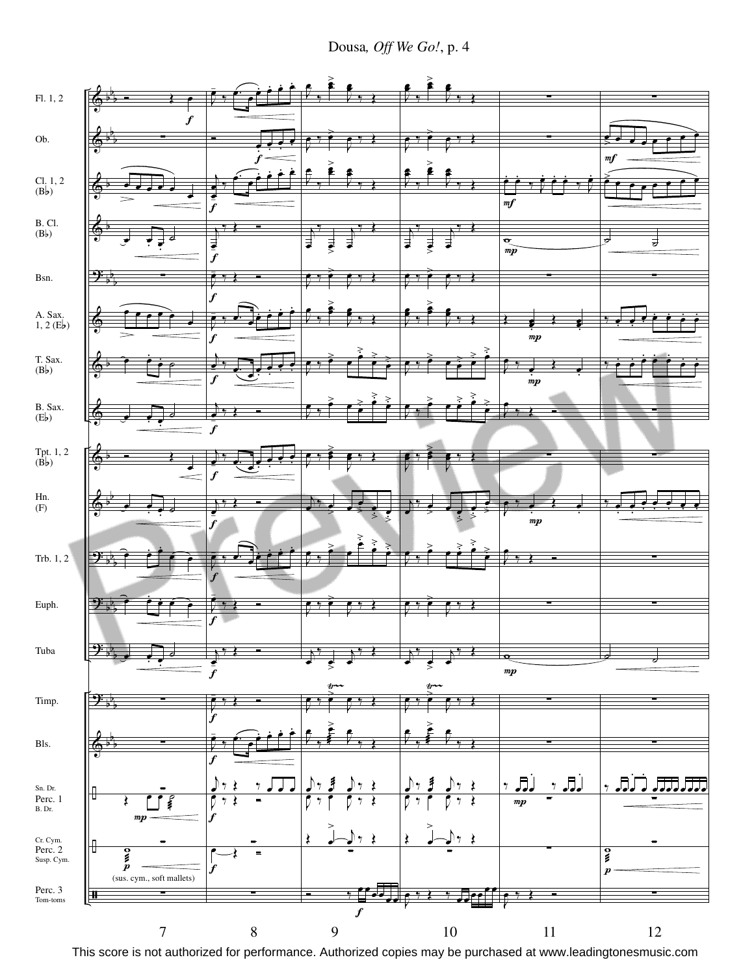Dousa, Off We Go!, p. 4

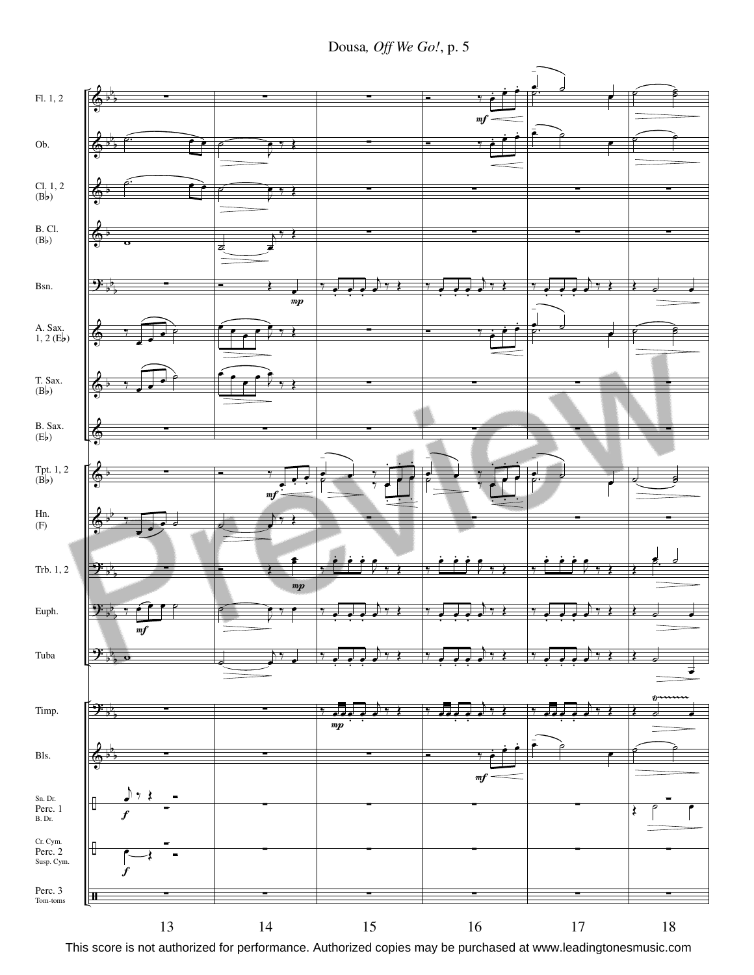Dousa*, Off We Go!*, p. 5

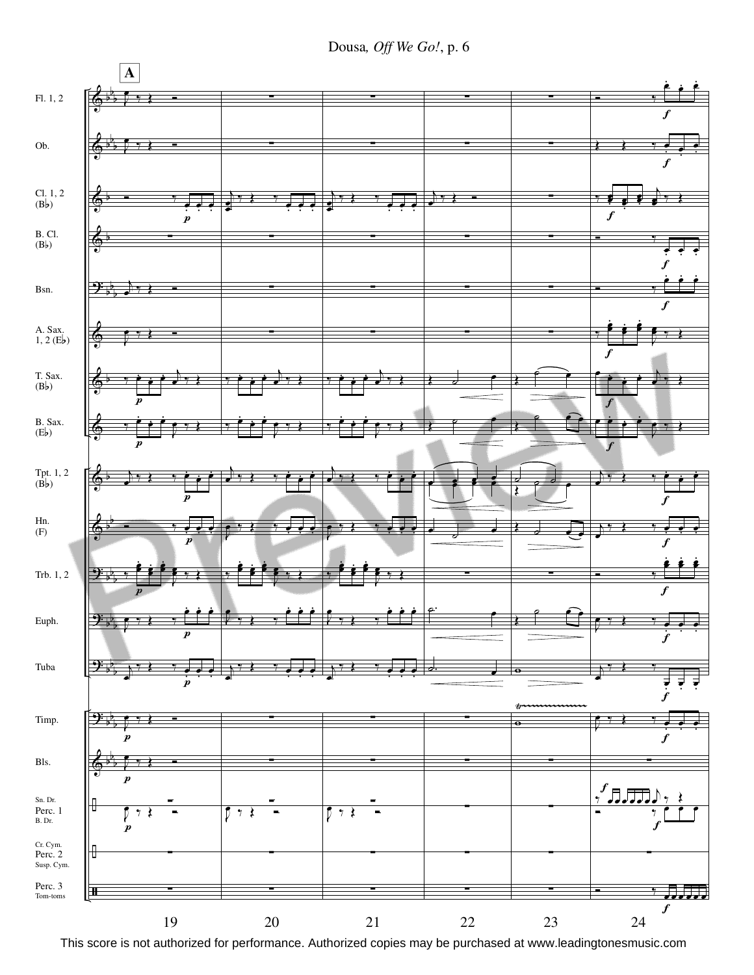Dousa*, Off We Go!*, p. 6

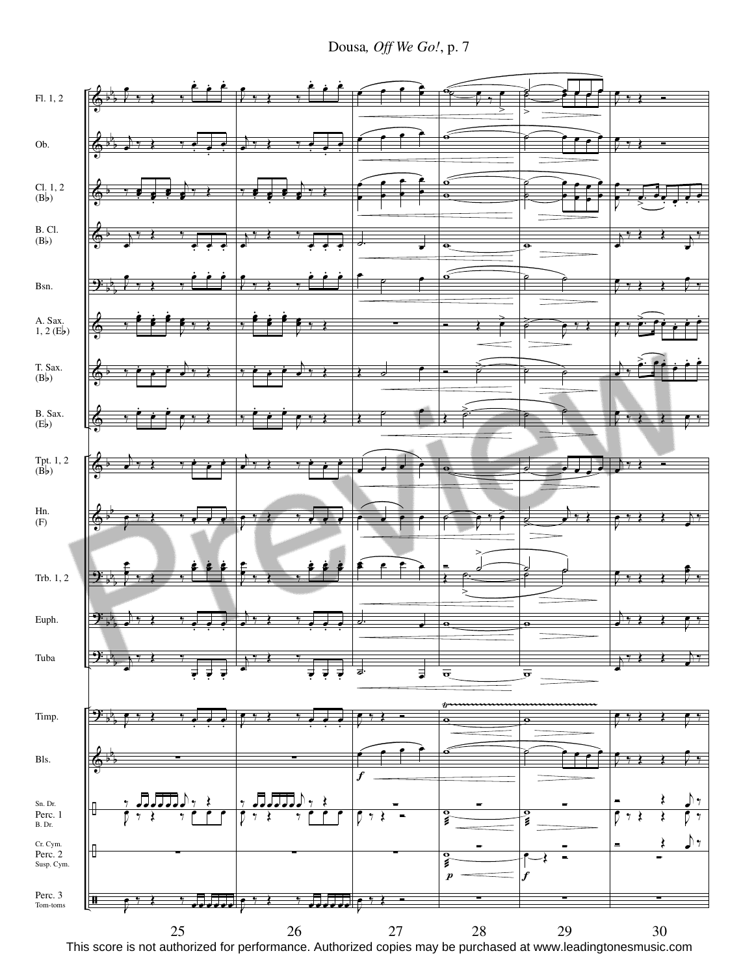Dousa*, Off We Go!*, p. 7

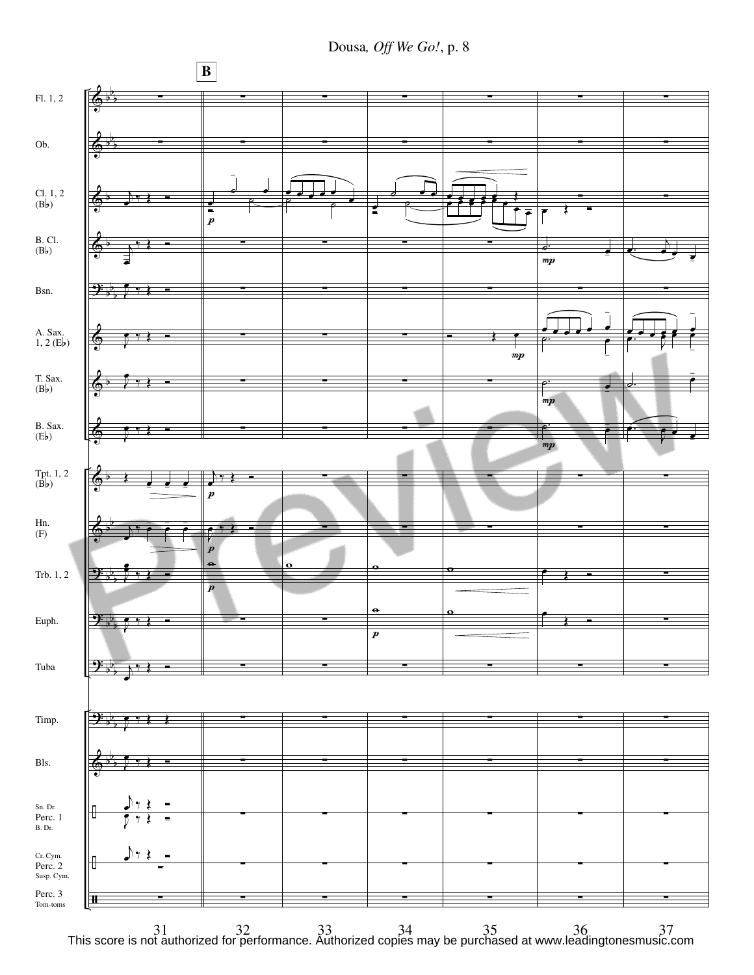Dousa*, Off We Go!*, p. 8

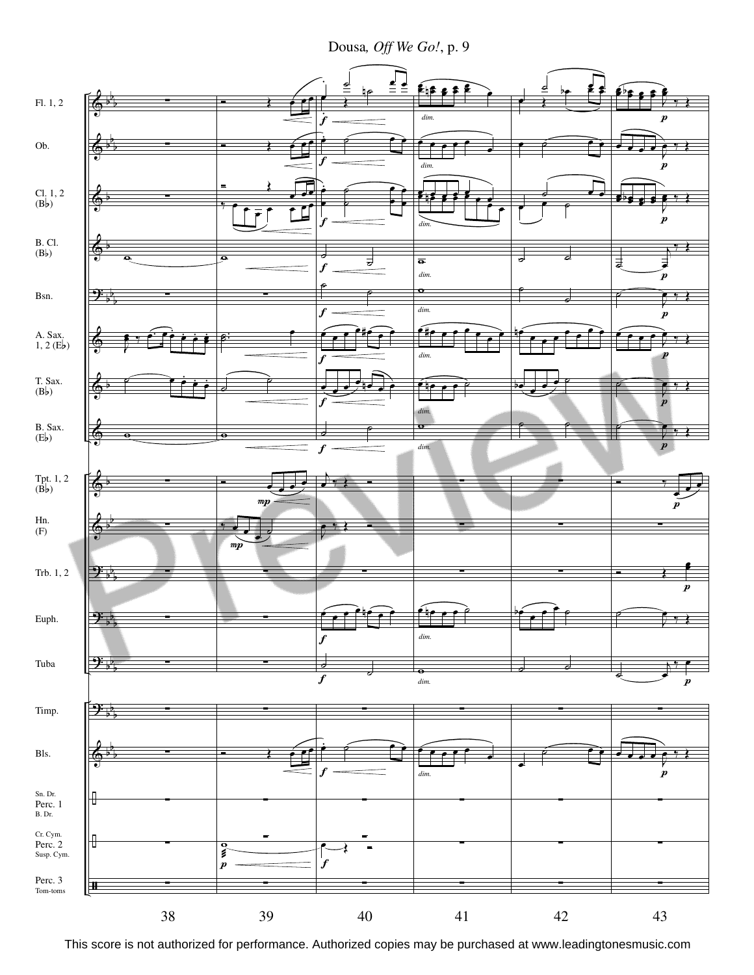Dousa, Off We Go!, p. 9

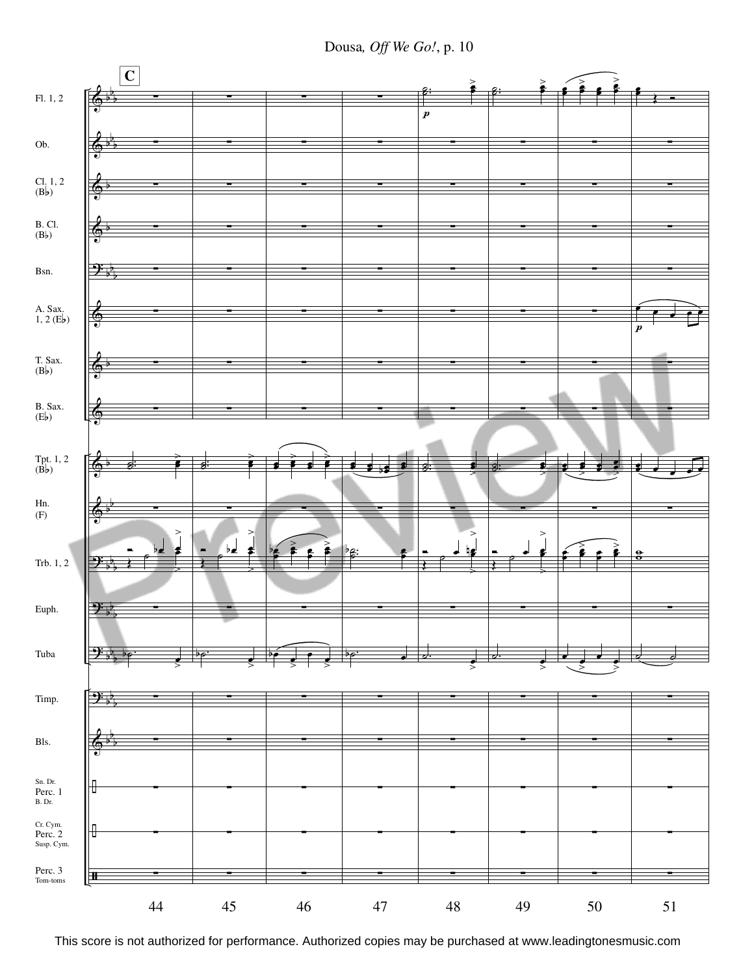Dousa*, Off We Go!*, p. 10

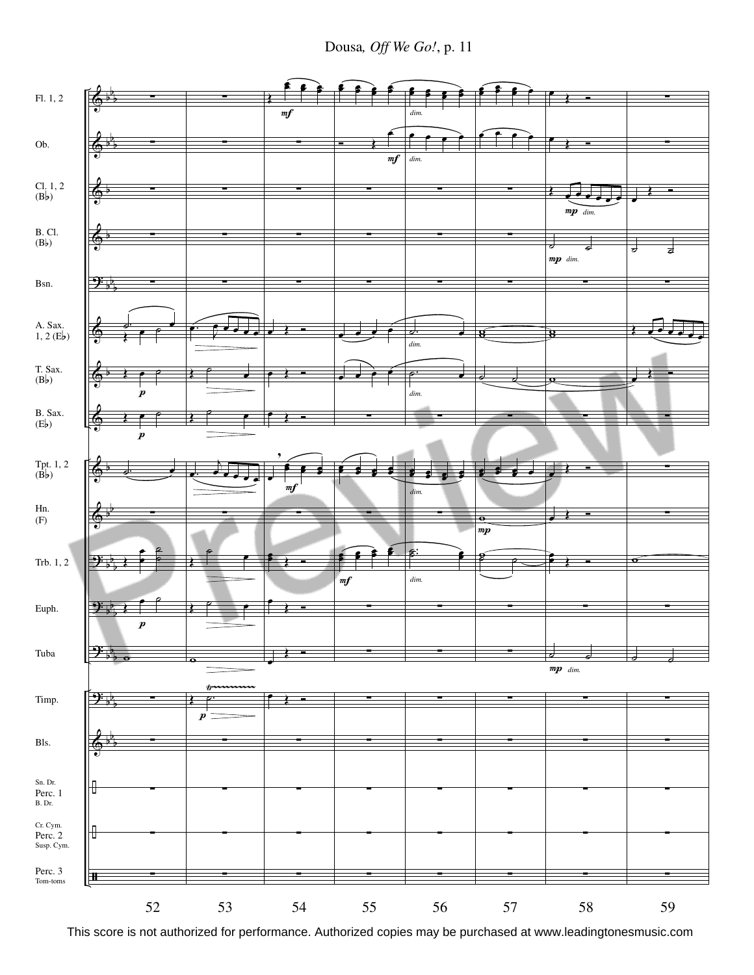Dousa*, Off We Go!*, p. 11

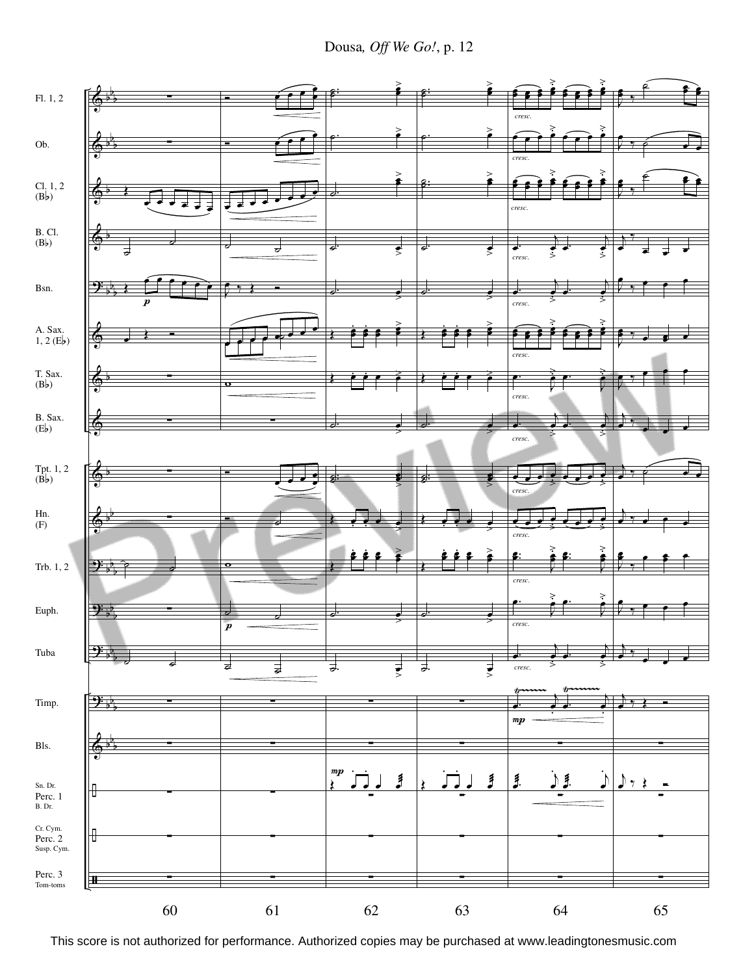Dousa*, Off We Go!*, p. 12

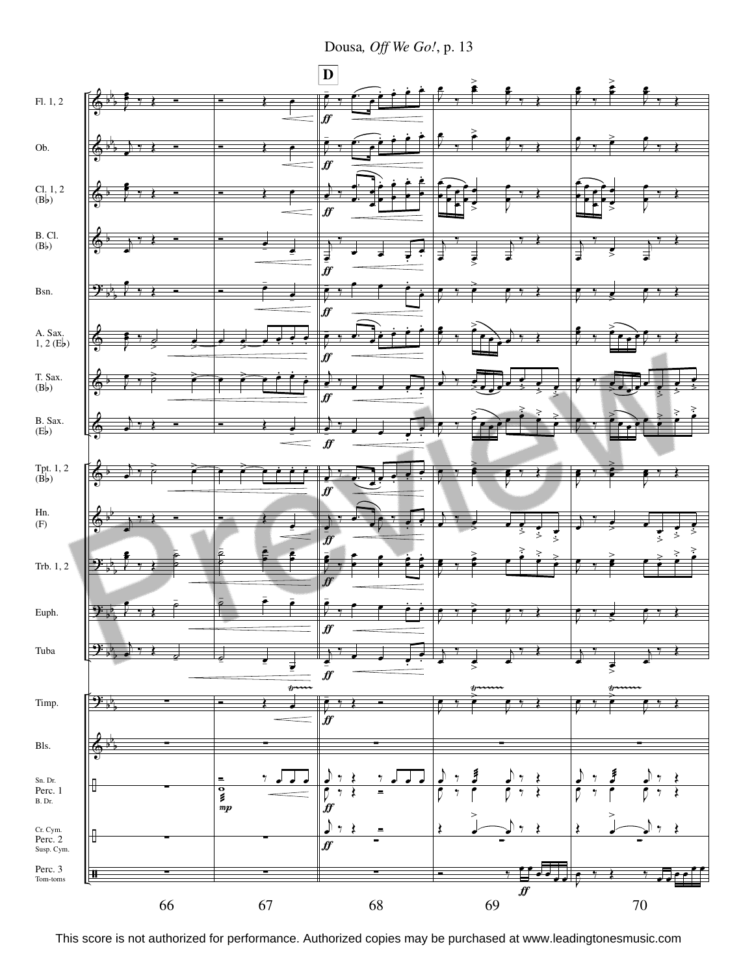Dousa, Off We Go!, p. 13

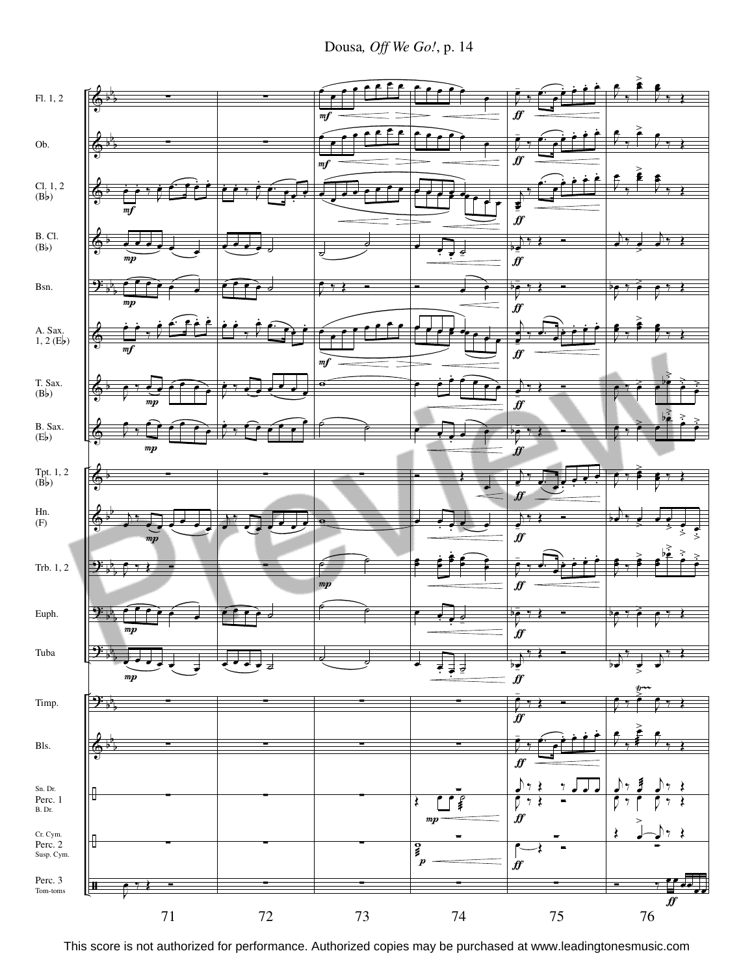Dousa*, Off We Go!*, p. 14

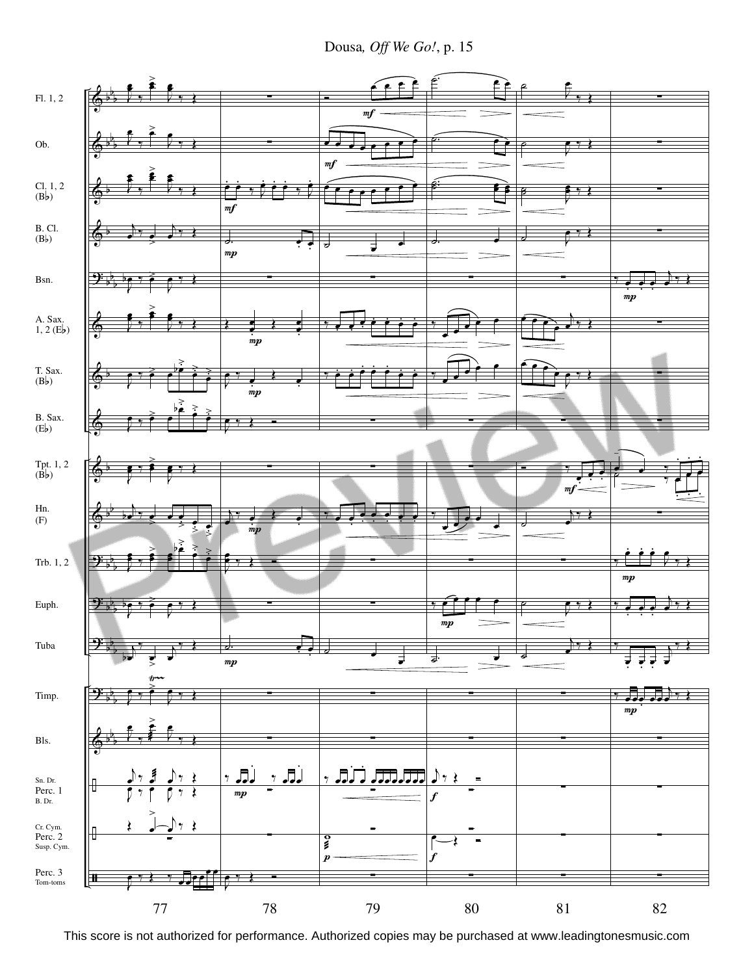Dousa*, Off We Go!*, p. 15

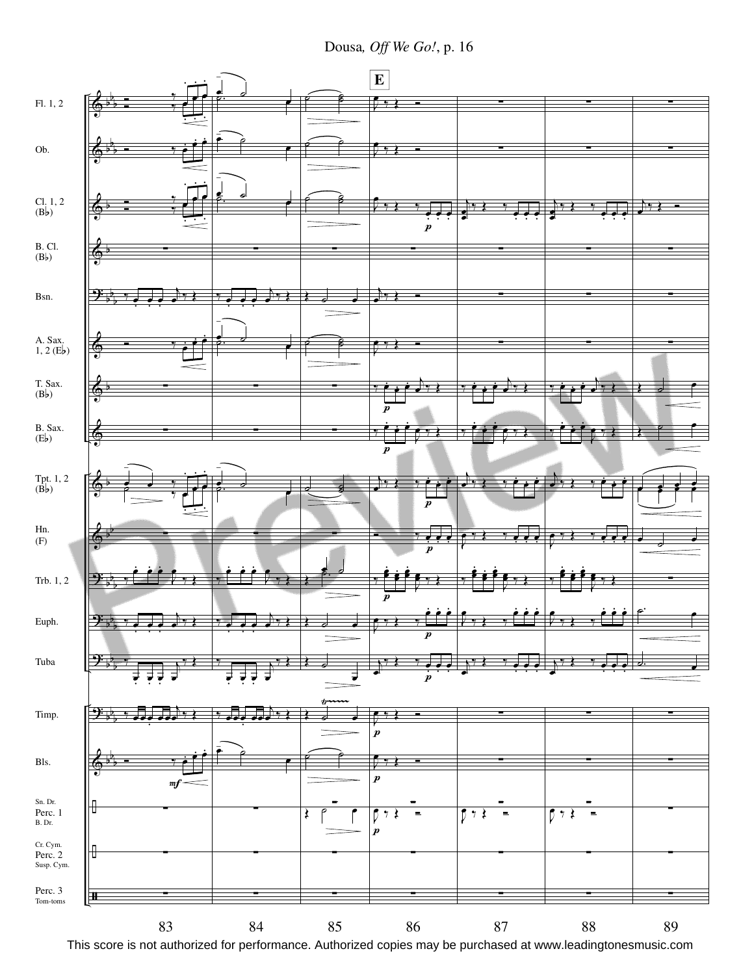Dousa*, Off We Go!*, p. 16

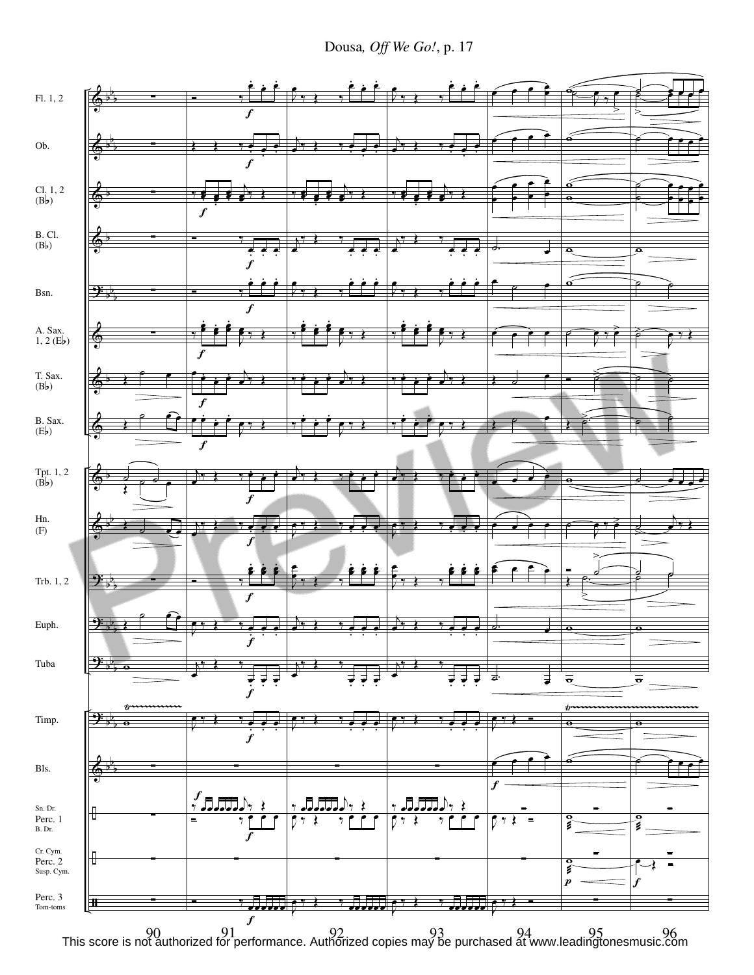Dousa*, Off We Go!*, p. 17